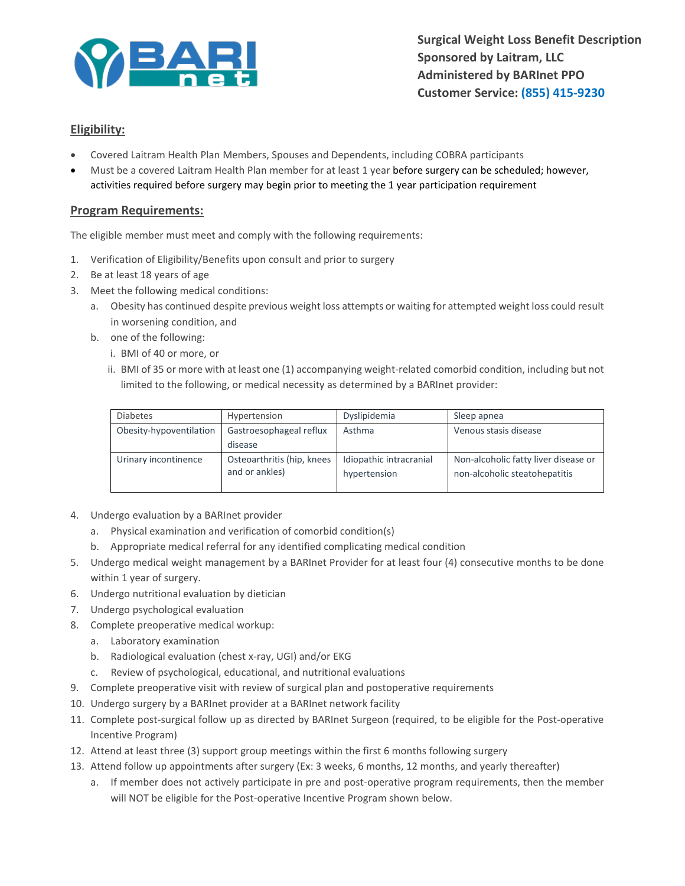

**Surgical Weight Loss Benefit Description Sponsored by Laitram, LLC Administered by BARInet PPO Customer Service: (855) 415-9230**

# **Eligibility:**

- Covered Laitram Health Plan Members, Spouses and Dependents, including COBRA participants
- Must be a covered Laitram Health Plan member for at least 1 year before surgery can be scheduled; however, activities required before surgery may begin prior to meeting the 1 year participation requirement

#### **Program Requirements:**

The eligible member must meet and comply with the following requirements:

- 1. Verification of Eligibility/Benefits upon consult and prior to surgery
- 2. Be at least 18 years of age
- 3. Meet the following medical conditions:
	- a. Obesity has continued despite previous weight loss attempts or waiting for attempted weight loss could result in worsening condition, and
	- b. one of the following:
		- i. BMI of 40 or more, or
		- ii. BMI of 35 or more with at least one (1) accompanying weight-related comorbid condition, including but not limited to the following, or medical necessity as determined by a BARInet provider:

| <b>Diabetes</b>         | Hypertension                                 | Dyslipidemia                            | Sleep apnea                                                           |
|-------------------------|----------------------------------------------|-----------------------------------------|-----------------------------------------------------------------------|
| Obesity-hypoventilation | Gastroesophageal reflux                      | Asthma                                  | Venous stasis disease                                                 |
|                         | disease                                      |                                         |                                                                       |
| Urinary incontinence    | Osteoarthritis (hip, knees<br>and or ankles) | Idiopathic intracranial<br>hypertension | Non-alcoholic fatty liver disease or<br>non-alcoholic steatohepatitis |

- 4. Undergo evaluation by a BARInet provider
	- a. Physical examination and verification of comorbid condition(s)
	- b. Appropriate medical referral for any identified complicating medical condition
- 5. Undergo medical weight management by a BARInet Provider for at least four (4) consecutive months to be done within 1 year of surgery.
- 6. Undergo nutritional evaluation by dietician
- 7. Undergo psychological evaluation
- 8. Complete preoperative medical workup:
	- a. Laboratory examination
	- b. Radiological evaluation (chest x-ray, UGI) and/or EKG
	- c. Review of psychological, educational, and nutritional evaluations
- 9. Complete preoperative visit with review of surgical plan and postoperative requirements
- 10. Undergo surgery by a BARInet provider at a BARInet network facility
- 11. Complete post-surgical follow up as directed by BARInet Surgeon (required, to be eligible for the Post-operative Incentive Program)
- 12. Attend at least three (3) support group meetings within the first 6 months following surgery
- 13. Attend follow up appointments after surgery (Ex: 3 weeks, 6 months, 12 months, and yearly thereafter)
	- a. If member does not actively participate in pre and post-operative program requirements, then the member will NOT be eligible for the Post-operative Incentive Program shown below.